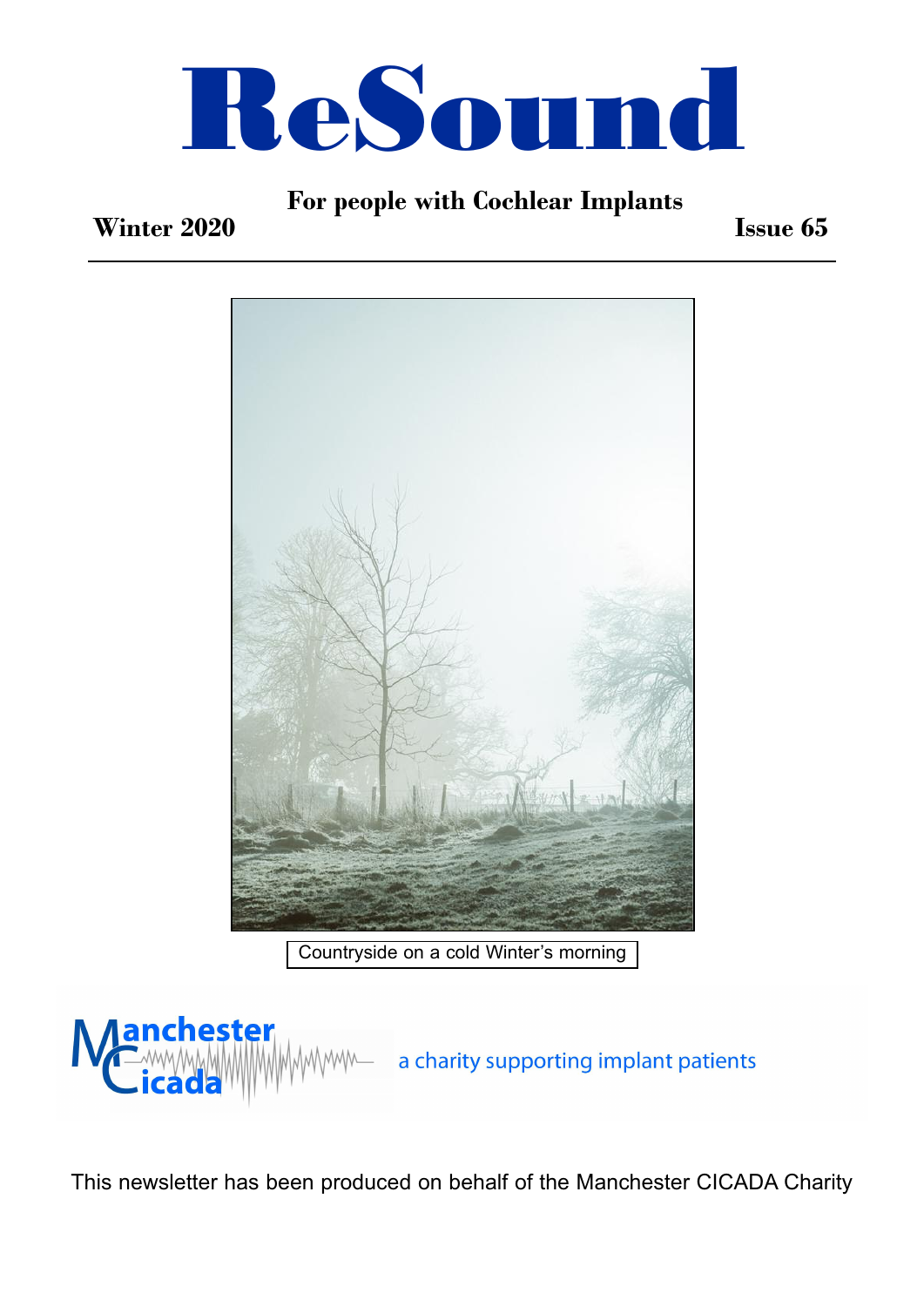

### **For people with Cochlear Implants**

### **Winter 2020**

**Issue 65**



Countryside on a cold Winter's morning



This newsletter has been produced on behalf of the Manchester CICADA Charity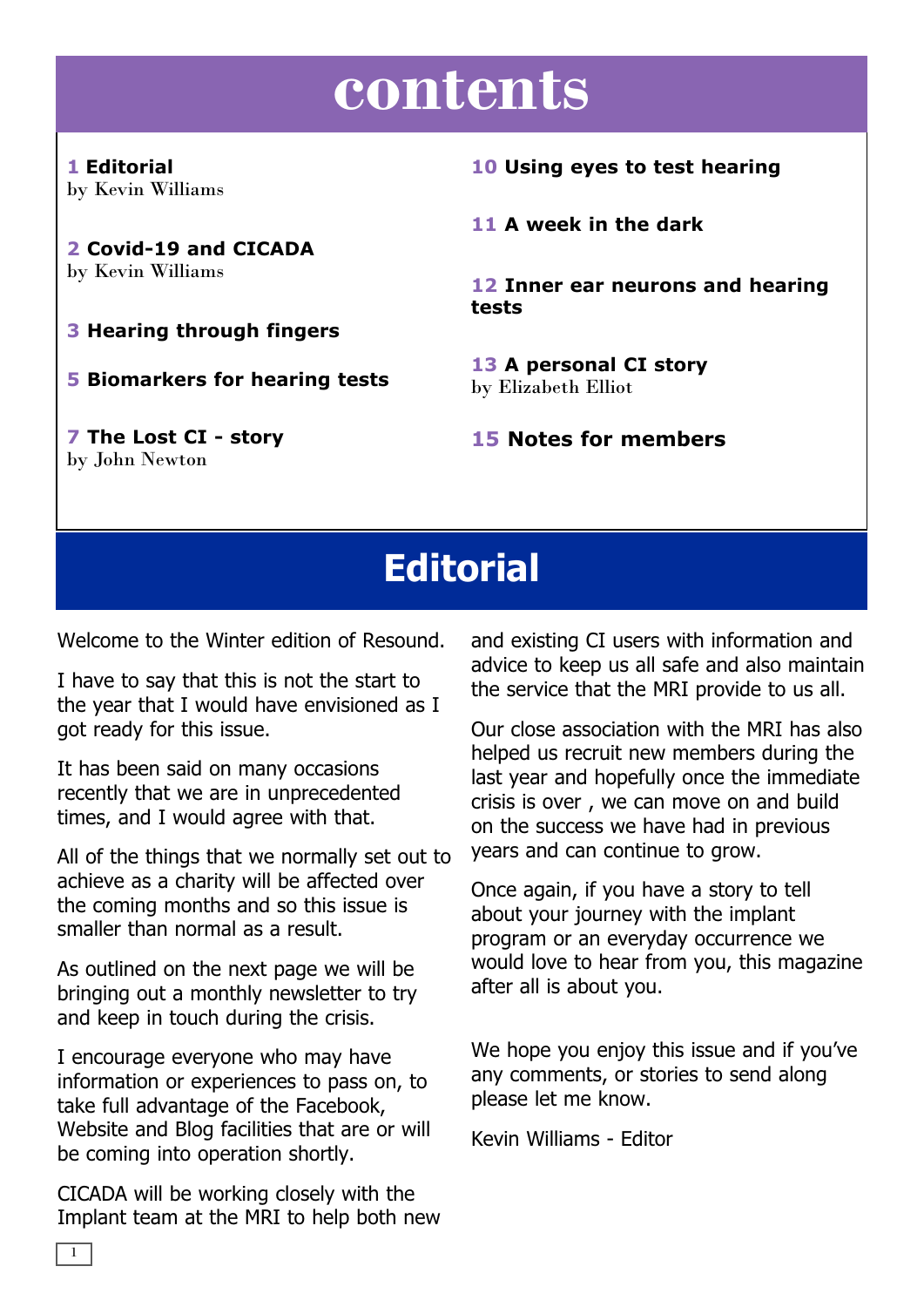# **contents**

**1 Editorial** by Kevin Williams

**2 Covid-19 and CICADA** by Kevin Williams

**3 Hearing through fingers**

**5 Biomarkers for hearing tests**

**7 The Lost CI - story** by John Newton

**10 Using eyes to test hearing**

**11 A week in the dark**

**12 Inner ear neurons and hearing tests**

**13 A personal CI story** by Elizabeth Elliot

**15 Notes for members**

## **Editorial**

Welcome to the Winter edition of Resound.

I have to say that this is not the start to the year that I would have envisioned as I got ready for this issue.

It has been said on many occasions recently that we are in unprecedented times, and I would agree with that.

All of the things that we normally set out to achieve as a charity will be affected over the coming months and so this issue is smaller than normal as a result.

As outlined on the next page we will be bringing out a monthly newsletter to try and keep in touch during the crisis.

I encourage everyone who may have information or experiences to pass on, to take full advantage of the Facebook, Website and Blog facilities that are or will be coming into operation shortly.

CICADA will be working closely with the Implant team at the MRI to help both new

1

and existing CI users with information and advice to keep us all safe and also maintain the service that the MRI provide to us all.

Our close association with the MRI has also helped us recruit new members during the last year and hopefully once the immediate crisis is over , we can move on and build on the success we have had in previous years and can continue to grow.

Once again, if you have a story to tell about your journey with the implant program or an everyday occurrence we would love to hear from you, this magazine after all is about you.

We hope you enjoy this issue and if you've any comments, or stories to send along please let me know.

Kevin Williams - Editor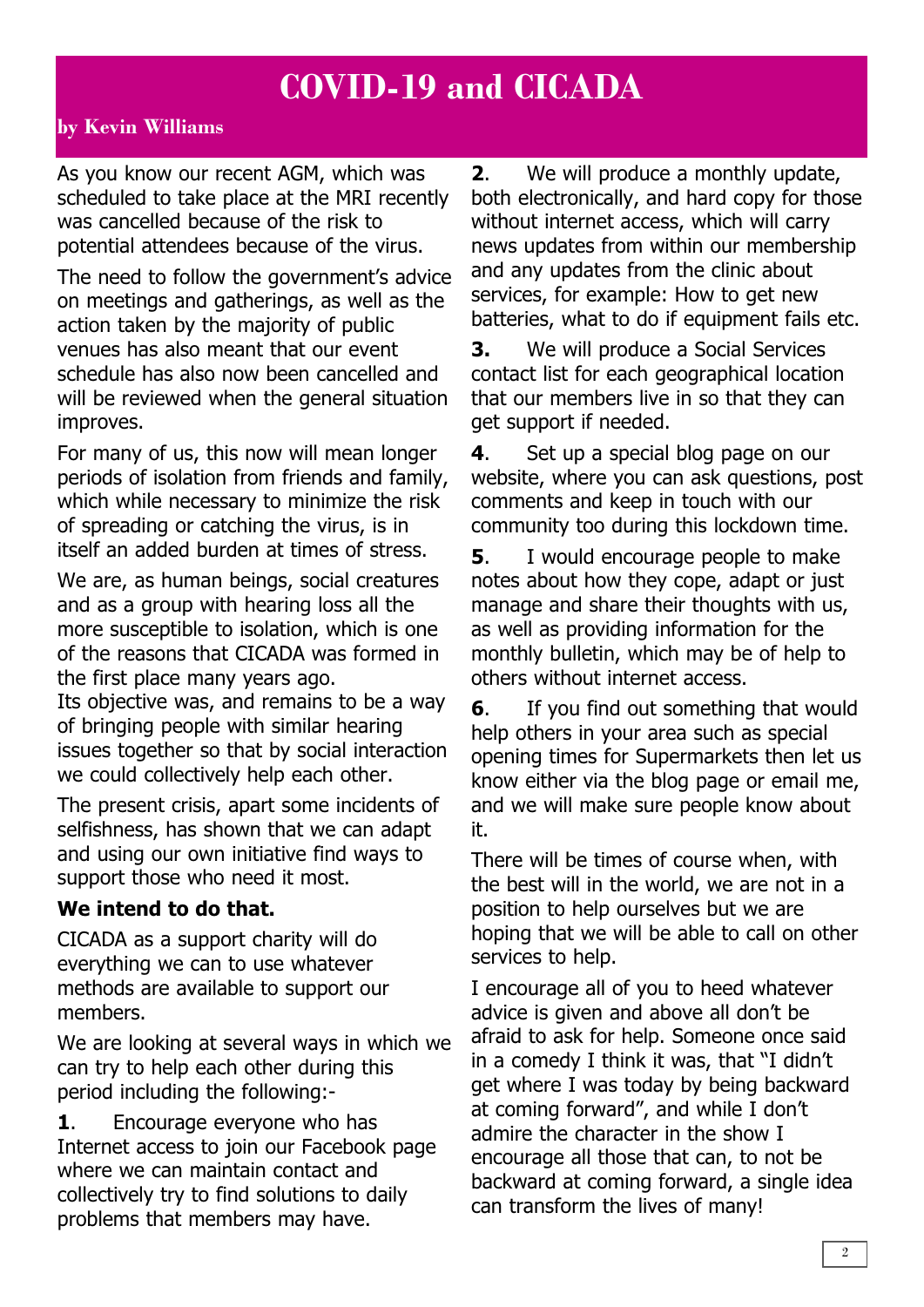### **COVID-19 and CICADA**

#### **by Kevin Williams**

As you know our recent AGM, which was scheduled to take place at the MRI recently was cancelled because of the risk to potential attendees because of the virus.

The need to follow the government's advice on meetings and gatherings, as well as the action taken by the majority of public venues has also meant that our event schedule has also now been cancelled and will be reviewed when the general situation improves.

For many of us, this now will mean longer periods of isolation from friends and family, which while necessary to minimize the risk of spreading or catching the virus, is in itself an added burden at times of stress.

We are, as human beings, social creatures and as a group with hearing loss all the more susceptible to isolation, which is one of the reasons that CICADA was formed in the first place many years ago.

Its objective was, and remains to be a way of bringing people with similar hearing issues together so that by social interaction we could collectively help each other.

The present crisis, apart some incidents of selfishness, has shown that we can adapt and using our own initiative find ways to support those who need it most.

#### **We intend to do that.**

CICADA as a support charity will do everything we can to use whatever methods are available to support our members.

We are looking at several ways in which we can try to help each other during this period including the following:-

**1**. Encourage everyone who has Internet access to join our Facebook page where we can maintain contact and collectively try to find solutions to daily problems that members may have.

**2**. We will produce a monthly update, both electronically, and hard copy for those without internet access, which will carry news updates from within our membership and any updates from the clinic about services, for example: How to get new batteries, what to do if equipment fails etc.

**3.** We will produce a Social Services contact list for each geographical location that our members live in so that they can get support if needed.

**4**. Set up a special blog page on our website, where you can ask questions, post comments and keep in touch with our community too during this lockdown time.

**5**. I would encourage people to make notes about how they cope, adapt or just manage and share their thoughts with us, as well as providing information for the monthly bulletin, which may be of help to others without internet access.

**6**. If you find out something that would help others in your area such as special opening times for Supermarkets then let us know either via the blog page or email me, and we will make sure people know about it.

There will be times of course when, with the best will in the world, we are not in a position to help ourselves but we are hoping that we will be able to call on other services to help.

I encourage all of you to heed whatever advice is given and above all don't be afraid to ask for help. Someone once said in a comedy I think it was, that "I didn't get where I was today by being backward at coming forward", and while I don't admire the character in the show I encourage all those that can, to not be backward at coming forward, a single idea can transform the lives of many!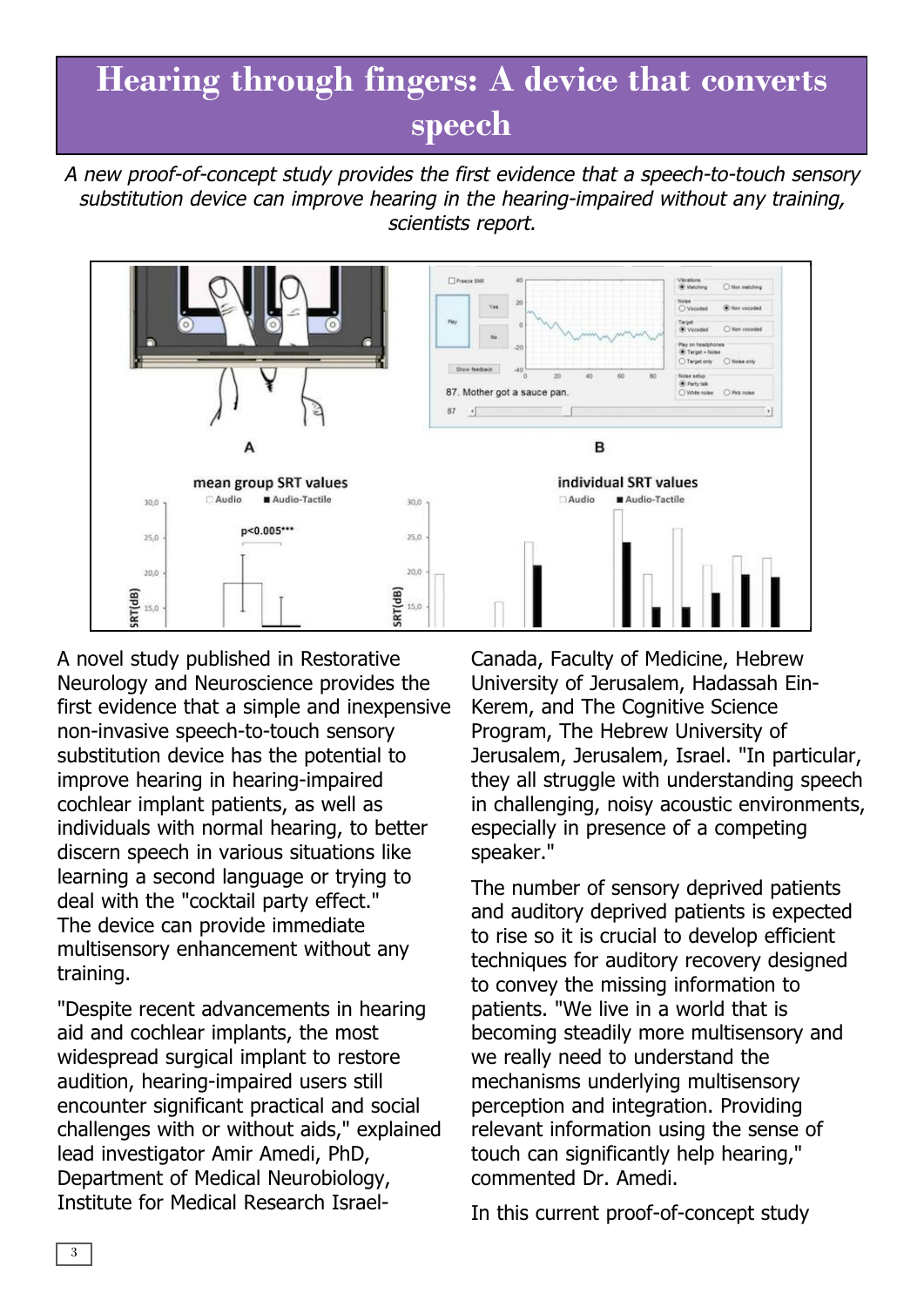## **Hearing through fingers: A device that converts speech**

A new proof-of-concept study provides the first evidence that <sup>a</sup> speech-to-touch sensory substitution device can improve hearing in the hearing-impaired without any training, scientists report.



A novel study published in Restorative Neurology and Neuroscience provides the first evidence that a simple and inexpensive non-invasive speech-to-touch sensory substitution device has the potential to improve hearing in hearing-impaired cochlear implant patients, as well as individuals with normal hearing, to better discern speech in various situations like learning a second language or trying to deal with the "cocktail party effect." The device can provide immediate multisensory enhancement without any training.

"Despite recent advancements in hearing aid and cochlear implants, the most widespread surgical implant to restore audition, hearing-impaired users still encounter significant practical and social challenges with or without aids," explained lead investigator Amir Amedi, PhD, Department of Medical Neurobiology, Institute for Medical Research IsraelCanada, Faculty of Medicine, Hebrew University of Jerusalem, Hadassah Ein-Kerem, and The Cognitive Science Program, The Hebrew University of Jerusalem, Jerusalem, Israel. "In particular, they all struggle with understanding speech in challenging, noisy acoustic environments, especially in presence of a competing speaker."

The number of sensory deprived patients and auditory deprived patients is expected to rise so it is crucial to develop efficient techniques for auditory recovery designed to convey the missing information to patients. "We live in a world that is becoming steadily more multisensory and we really need to understand the mechanisms underlying multisensory perception and integration. Providing relevant information using the sense of touch can significantly help hearing," commented Dr. Amedi.

In this current proof-of-concept study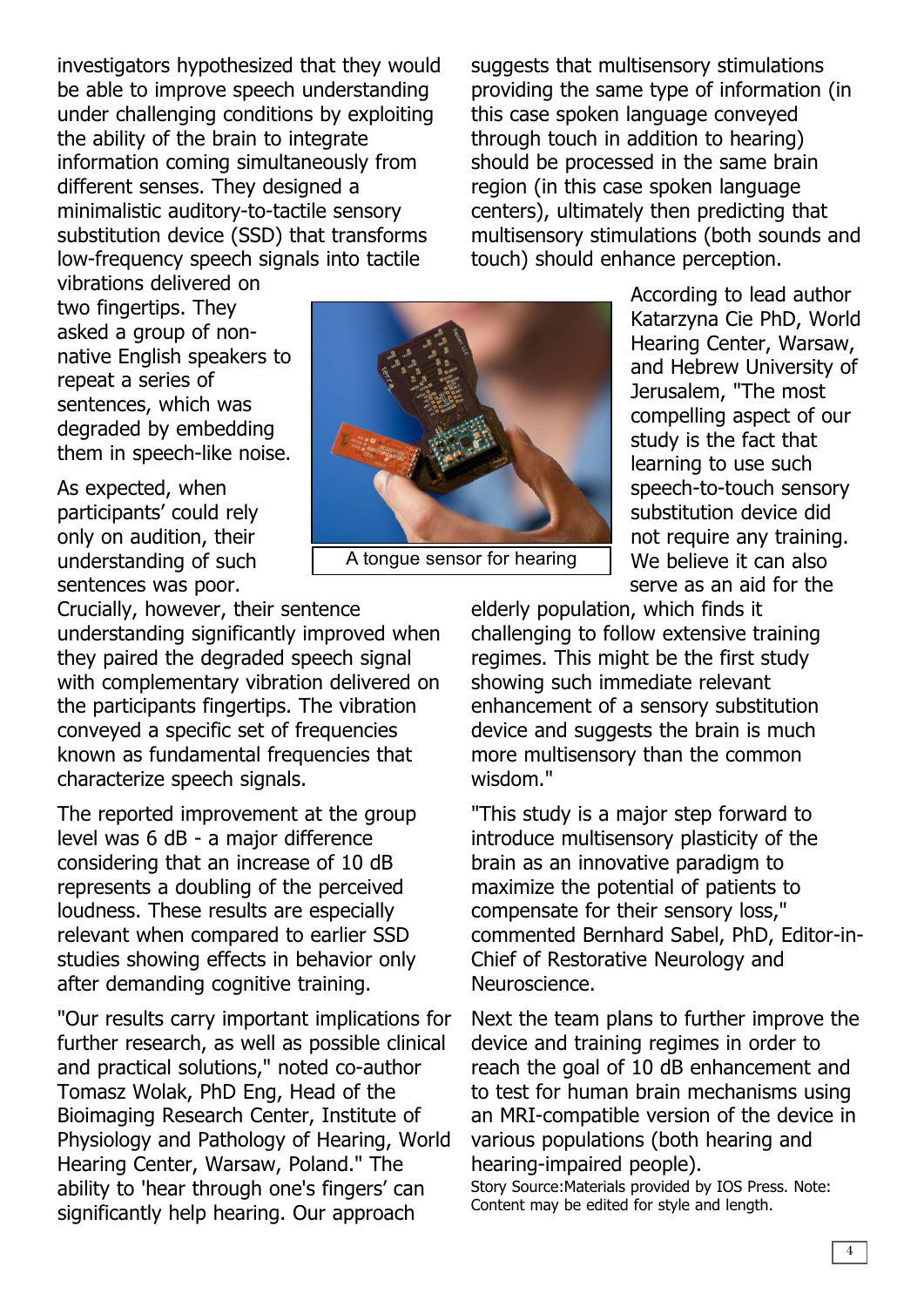investigators hypothesized that they would be able to improve speech understanding under challenging conditions by exploiting the ability of the brain to integrate information coming simultaneously from different senses. They designed a minimalistic auditory-to-tactile sensory substitution device (SSD) that transforms low-frequency speech signals into tactile

suggests that multisensory stimulations providing the same type of information (in this case spoken language conveyed through touch in addition to hearing) should be processed in the same brain region (in this case spoken language centers), ultimately then predicting that multisensory stimulations (both sounds and touch) should enhance perception.

vibrations delivered on two fingertips. They asked a group of nonnative English speakers to repeat a series of sentences, which was degraded by embedding them in speech-like noise.

As expected, when participants' could rely only on audition, their understanding of such sentences was poor.

Crucially, however, their sentence understanding significantly improved when they paired the degraded speech signal with complementary vibration delivered on the participants fingertips. The vibration conveyed a specific set of frequencies known as fundamental frequencies that characterize speech signals.

The reported improvement at the group level was 6 dB - a major difference considering that an increase of 10 dB represents a doubling of the perceived loudness. These results are especially relevant when compared to earlier SSD studies showing effects in behavior only after demanding cognitive training.

"Our results carry important implications for further research, as well as possible clinical and practical solutions," noted co-author Tomasz Wolak, PhD Eng, Head of the Bioimaging Research Center, Institute of Physiology and Pathology of Hearing, World Hearing Center, Warsaw, Poland." The ability to 'hear through one's fingers' can significantly help hearing. Our approach



A tongue sensor for hearing

According to lead author Katarzyna Cie PhD, World Hearing Center, Warsaw, and Hebrew University of Jerusalem, "The most compelling aspect of our study is the fact that learning to use such speech-to-touch sensory substitution device did not require any training. We believe it can also serve as an aid for the

elderly population, which finds it challenging to follow extensive training regimes. This might be the first study showing such immediate relevant enhancement of a sensory substitution device and suggests the brain is much more multisensory than the common wisdom."

"This study is a major step forward to introduce multisensory plasticity of the brain as an innovative paradigm to maximize the potential of patients to compensate for their sensory loss," commented Bernhard Sabel, PhD, Editor-in-Chief of Restorative Neurology and Neuroscience.

Next the team plans to further improve the device and training regimes in order to reach the goal of 10 dB enhancement and to test for human brain mechanisms using an MRI-compatible version of the device in various populations (both hearing and hearing-impaired people).

Story Source:Materials provided by IOS Press. Note: Content may be edited for style and length.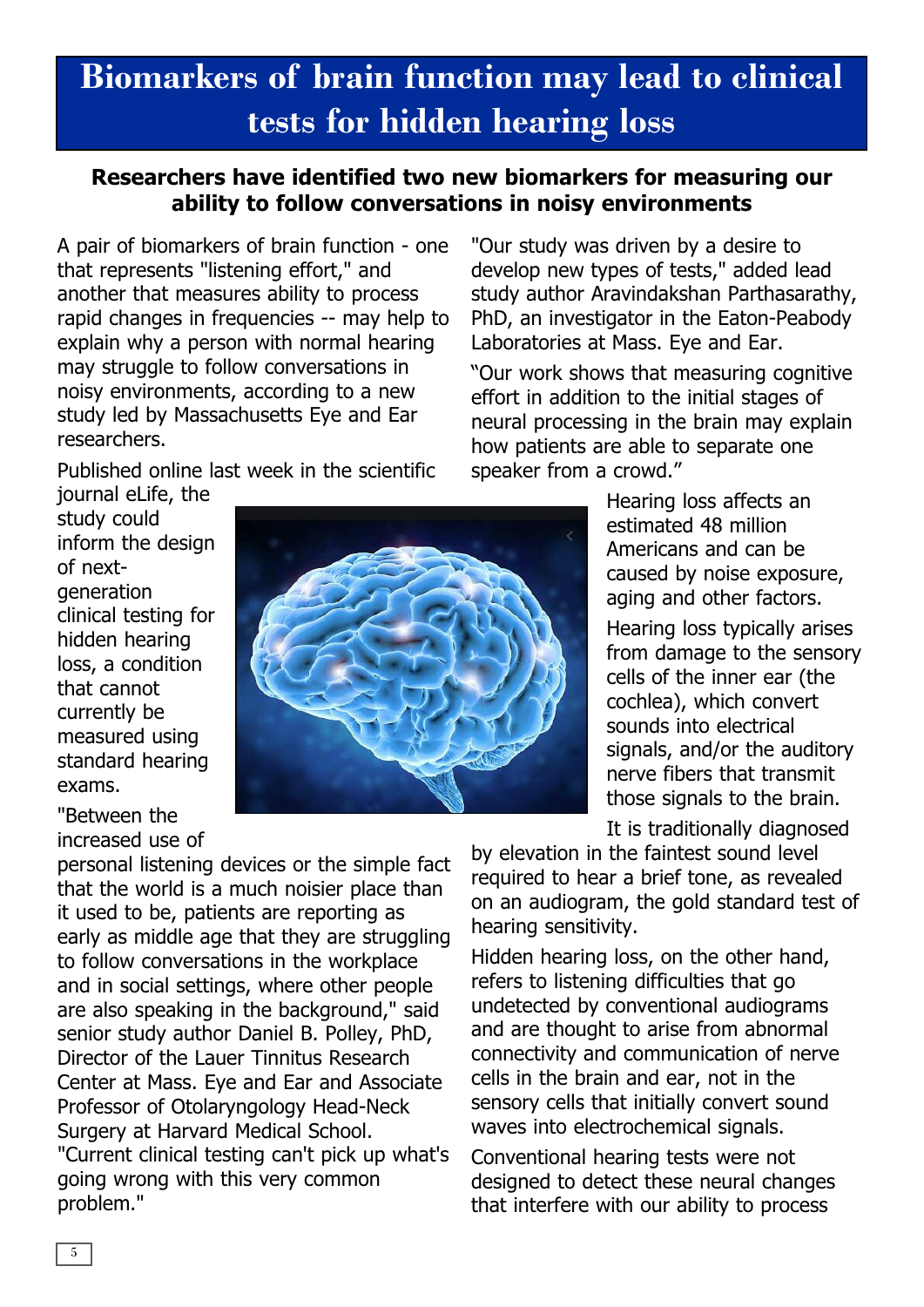# **Biomarkers of brain function may lead to clinical tests for hidden hearing loss**

### **Researchers have identified two new biomarkers for measuring our ability to follow conversations in noisy environments**

A pair of biomarkers of brain function - one that represents "listening effort," and another that measures ability to process rapid changes in frequencies -- may help to explain why a person with normal hearing may struggle to follow conversations in noisy environments, according to a new study led by Massachusetts Eye and Ear researchers.

Published online last week in the scientific

journal eLife, the study could inform the design of nextgeneration clinical testing for hidden hearing loss, a condition that cannot currently be measured using standard hearing exams.

"Between the increased use of

personal listening devices or the simple fact that the world is a much noisier place than it used to be, patients are reporting as early as middle age that they are struggling to follow conversations in the workplace and in social settings, where other people are also speaking in the background," said senior study author Daniel B. Polley, PhD, Director of the Lauer Tinnitus Research Center at Mass. Eye and Ear and Associate Professor of Otolaryngology Head-Neck Surgery at Harvard Medical School. "Current clinical testing can't pick up what's going wrong with this very common problem."

study author Aravindakshan Parthasarathy, PhD, an investigator in the Eaton-Peabody Laboratories at Mass. Eye and Ear. "Our work shows that measuring cognitive effort in addition to the initial stages of

"Our study was driven by a desire to develop new types of tests," added lead

neural processing in the brain may explain how patients are able to separate one speaker from a crowd."

> Hearing loss affects an estimated 48 million Americans and can be caused by noise exposure, aging and other factors.

Hearing loss typically arises from damage to the sensory cells of the inner ear (the cochlea), which convert sounds into electrical signals, and/or the auditory nerve fibers that transmit those signals to the brain.

It is traditionally diagnosed

by elevation in the faintest sound level required to hear a brief tone, as revealed on an audiogram, the gold standard test of hearing sensitivity.

Hidden hearing loss, on the other hand, refers to listening difficulties that go undetected by conventional audiograms and are thought to arise from abnormal connectivity and communication of nerve cells in the brain and ear, not in the sensory cells that initially convert sound waves into electrochemical signals.

Conventional hearing tests were not designed to detect these neural changes that interfere with our ability to process

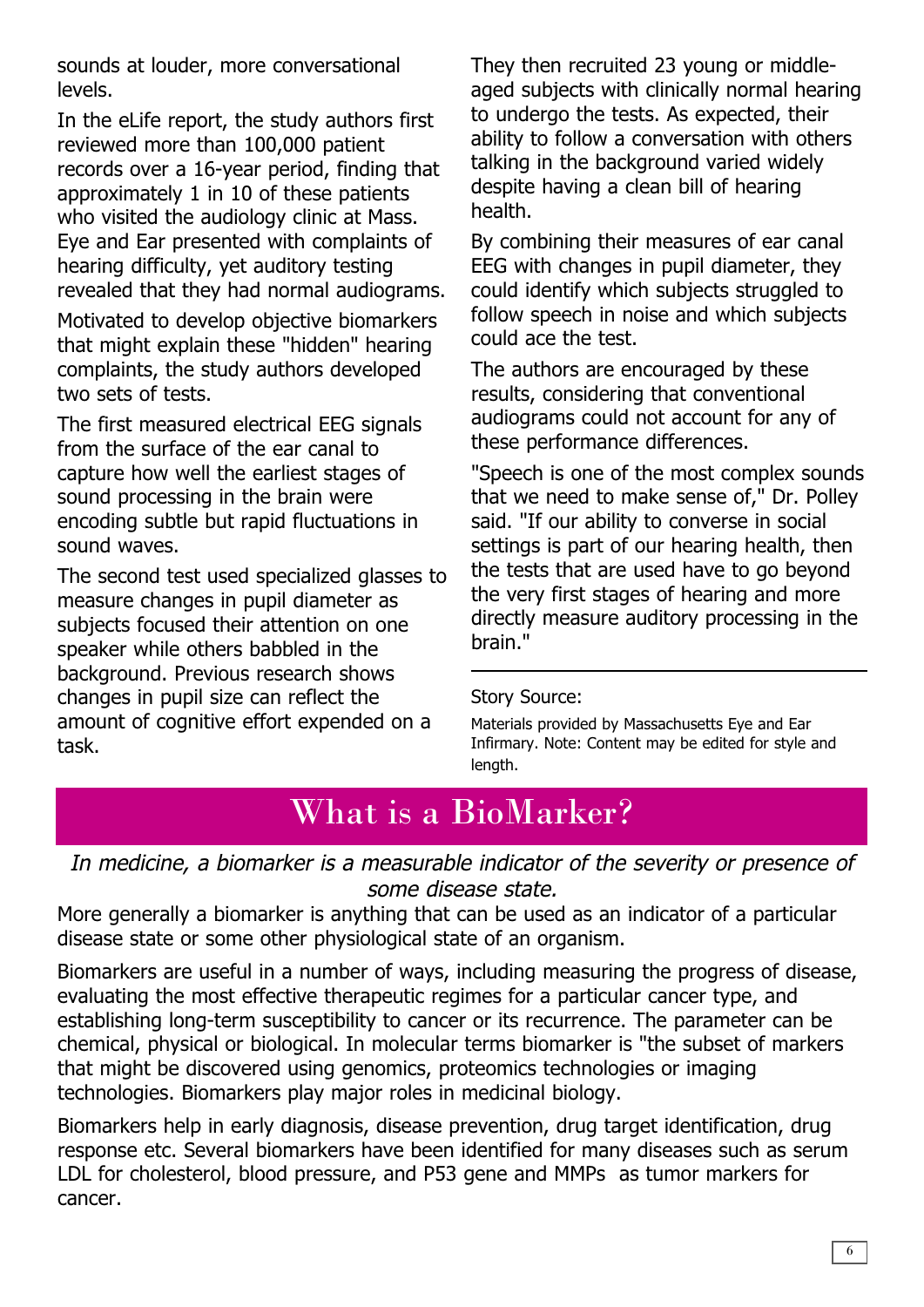sounds at louder, more conversational levels.

In the eLife report, the study authors first reviewed more than 100,000 patient records over a 16-year period, finding that approximately 1 in 10 of these patients who visited the audiology clinic at Mass. Eye and Ear presented with complaints of hearing difficulty, yet auditory testing revealed that they had normal audiograms.

Motivated to develop objective biomarkers that might explain these "hidden" hearing complaints, the study authors developed two sets of tests.

The first measured electrical EEG signals from the surface of the ear canal to capture how well the earliest stages of sound processing in the brain were encoding subtle but rapid fluctuations in sound waves.

The second test used specialized glasses to measure changes in pupil diameter as subjects focused their attention on one speaker while others babbled in the background. Previous research shows changes in pupil size can reflect the amount of cognitive effort expended on a task.

They then recruited 23 young or middleaged subjects with clinically normal hearing to undergo the tests. As expected, their ability to follow a conversation with others talking in the background varied widely despite having a clean bill of hearing health.

By combining their measures of ear canal EEG with changes in pupil diameter, they could identify which subjects struggled to follow speech in noise and which subjects could ace the test.

The authors are encouraged by these results, considering that conventional audiograms could not account for any of these performance differences.

"Speech is one of the most complex sounds that we need to make sense of," Dr. Polley said. "If our ability to converse in social settings is part of our hearing health, then the tests that are used have to go beyond the very first stages of hearing and more directly measure auditory processing in the brain."

#### Story Source:

Materials provided by Massachusetts Eye and Ear Infirmary. Note: Content may be edited for style and length.

### What is a BioMarker?

In medicine, <sup>a</sup> biomarker is <sup>a</sup> measurable indicator of the severity or presence of some disease state.

More generally a biomarker is anything that can be used as an indicator of a particular disease state or some other physiological state of an organism.

Biomarkers are useful in a number of ways, including measuring the progress of disease, evaluating the most effective therapeutic regimes for a particular cancer type, and establishing long-term susceptibility to cancer or its recurrence. The parameter can be chemical, physical or biological. In molecular terms biomarker is "the subset of markers that might be discovered using genomics, proteomics technologies or imaging technologies. Biomarkers play major roles in medicinal biology.

Biomarkers help in early diagnosis, disease prevention, drug target identification, drug response etc. Several biomarkers have been identified for many diseases such as serum LDL for cholesterol, blood pressure, and P53 gene and MMPs as tumor markers for cancer.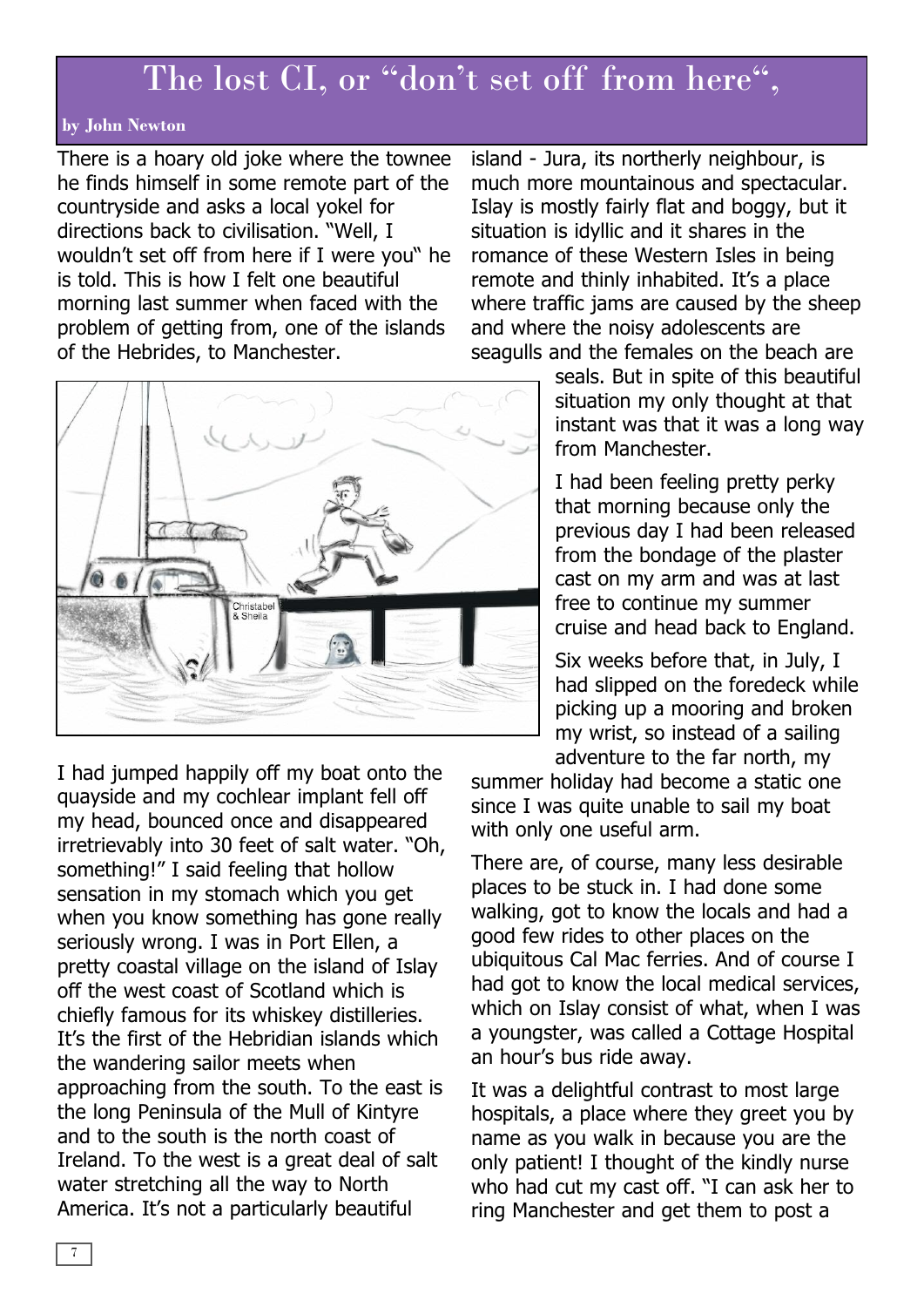### The lost CI, or "don't set off from here",

#### **by John Newton**

There is a hoary old joke where the townee he finds himself in some remote part of the countryside and asks a local yokel for directions back to civilisation. "Well, I wouldn't set off from here if I were you" he is told. This is how I felt one beautiful morning last summer when faced with the problem of getting from, one of the islands of the Hebrides, to Manchester.

Christabel<br>& Sheila

I had jumped happily off my boat onto the quayside and my cochlear implant fell off my head, bounced once and disappeared irretrievably into 30 feet of salt water. "Oh, something!" I said feeling that hollow sensation in my stomach which you get when you know something has gone really seriously wrong. I was in Port Ellen, a pretty coastal village on the island of Islay off the west coast of Scotland which is chiefly famous for its whiskey distilleries. It's the first of the Hebridian islands which the wandering sailor meets when approaching from the south. To the east is the long Peninsula of the Mull of Kintyre and to the south is the north coast of Ireland. To the west is a great deal of salt water stretching all the way to North America. It's not a particularly beautiful

island - Jura, its northerly neighbour, is much more mountainous and spectacular. Islay is mostly fairly flat and boggy, but it situation is idyllic and it shares in the romance of these Western Isles in being remote and thinly inhabited. It's a place where traffic jams are caused by the sheep and where the noisy adolescents are seagulls and the females on the beach are

> seals. But in spite of this beautiful situation my only thought at that instant was that it was a long way from Manchester.

I had been feeling pretty perky that morning because only the previous day I had been released from the bondage of the plaster cast on my arm and was at last free to continue my summer cruise and head back to England.

Six weeks before that, in July, I had slipped on the foredeck while picking up a mooring and broken my wrist, so instead of a sailing adventure to the far north, my

summer holiday had become a static one since I was quite unable to sail my boat with only one useful arm.

There are, of course, many less desirable places to be stuck in. I had done some walking, got to know the locals and had a good few rides to other places on the ubiquitous Cal Mac ferries. And of course I had got to know the local medical services, which on Islay consist of what, when I was a youngster, was called a Cottage Hospital an hour's bus ride away.

It was a delightful contrast to most large hospitals, a place where they greet you by name as you walk in because you are the only patient! I thought of the kindly nurse who had cut my cast off. "I can ask her to ring Manchester and get them to post a

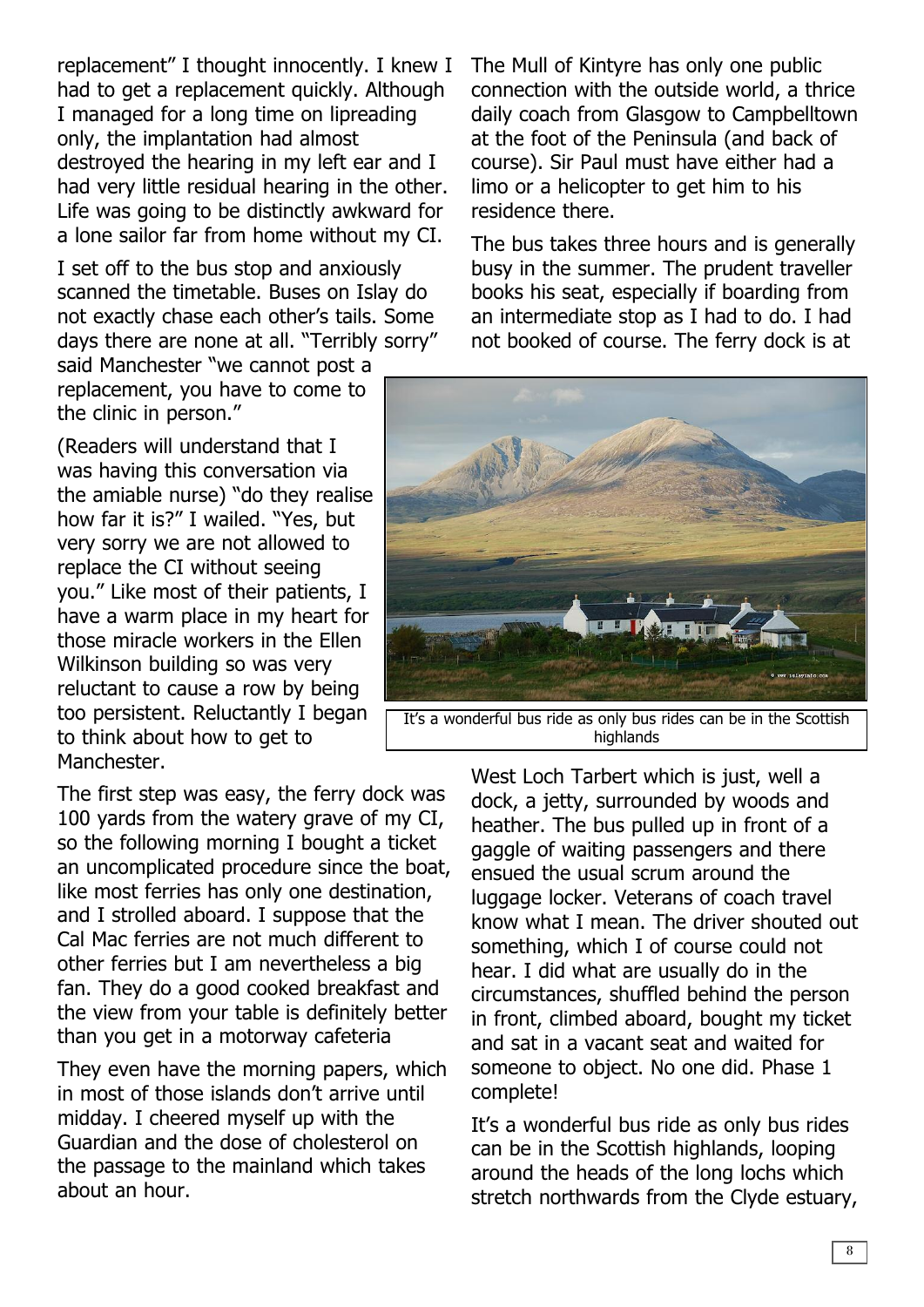replacement" I thought innocently. I knew I had to get a replacement quickly. Although I managed for a long time on lipreading only, the implantation had almost destroyed the hearing in my left ear and I had very little residual hearing in the other. Life was going to be distinctly awkward for a lone sailor far from home without my CI.

I set off to the bus stop and anxiously scanned the timetable. Buses on Islay do not exactly chase each other's tails. Some days there are none at all. "Terribly sorry"

said Manchester "we cannot post a replacement, you have to come to the clinic in person."

(Readers will understand that I was having this conversation via the amiable nurse) "do they realise how far it is?" I wailed. "Yes, but very sorry we are not allowed to replace the CI without seeing you." Like most of their patients, I have a warm place in my heart for those miracle workers in the Ellen Wilkinson building so was very reluctant to cause a row by being too persistent. Reluctantly I began to think about how to get to Manchester.

The first step was easy, the ferry dock was 100 yards from the watery grave of my CI, so the following morning I bought a ticket an uncomplicated procedure since the boat, like most ferries has only one destination, and I strolled aboard. I suppose that the Cal Mac ferries are not much different to other ferries but I am nevertheless a big fan. They do a good cooked breakfast and the view from your table is definitely better than you get in a motorway cafeteria

They even have the morning papers, which in most of those islands don't arrive until midday. I cheered myself up with the Guardian and the dose of cholesterol on the passage to the mainland which takes about an hour.

The Mull of Kintyre has only one public connection with the outside world, a thrice daily coach from Glasgow to Campbelltown at the foot of the Peninsula (and back of course). Sir Paul must have either had a limo or a helicopter to get him to his residence there.

The bus takes three hours and is generally busy in the summer. The prudent traveller books his seat, especially if boarding from an intermediate stop as I had to do. I had not booked of course. The ferry dock is at



It's a wonderful bus ride as only bus rides can be in the Scottish highlands

West Loch Tarbert which is just, well a dock, a jetty, surrounded by woods and heather. The bus pulled up in front of a gaggle of waiting passengers and there ensued the usual scrum around the luggage locker. Veterans of coach travel know what I mean. The driver shouted out something, which I of course could not hear. I did what are usually do in the circumstances, shuffled behind the person in front, climbed aboard, bought my ticket and sat in a vacant seat and waited for someone to object. No one did. Phase 1 complete!

It's a wonderful bus ride as only bus rides can be in the Scottish highlands, looping around the heads of the long lochs which stretch northwards from the Clyde estuary,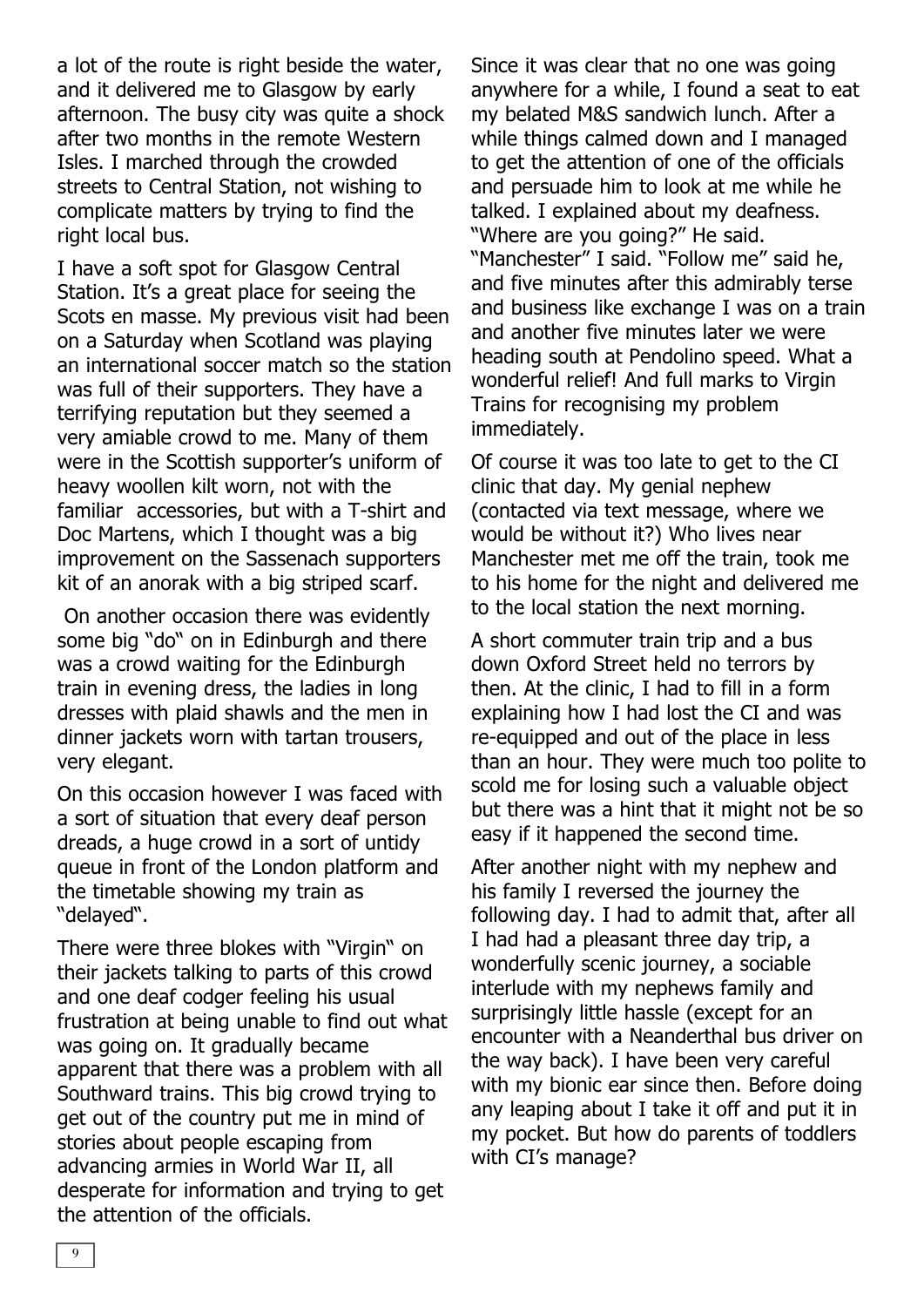a lot of the route is right beside the water, and it delivered me to Glasgow by early afternoon. The busy city was quite a shock after two months in the remote Western Isles. I marched through the crowded streets to Central Station, not wishing to complicate matters by trying to find the right local bus.

I have a soft spot for Glasgow Central Station. It's a great place for seeing the Scots en masse. My previous visit had been on a Saturday when Scotland was playing an international soccer match so the station was full of their supporters. They have a terrifying reputation but they seemed a very amiable crowd to me. Many of them were in the Scottish supporter's uniform of heavy woollen kilt worn, not with the familiar accessories, but with a T-shirt and Doc Martens, which I thought was a big improvement on the Sassenach supporters kit of an anorak with a big striped scarf.

On another occasion there was evidently some big "do" on in Edinburgh and there was a crowd waiting for the Edinburgh train in evening dress, the ladies in long dresses with plaid shawls and the men in dinner jackets worn with tartan trousers, very elegant.

On this occasion however I was faced with a sort of situation that every deaf person dreads, a huge crowd in a sort of untidy queue in front of the London platform and the timetable showing my train as "delayed".

There were three blokes with "Virgin" on their jackets talking to parts of this crowd and one deaf codger feeling his usual frustration at being unable to find out what was going on. It gradually became apparent that there was a problem with all Southward trains. This big crowd trying to get out of the country put me in mind of stories about people escaping from advancing armies in World War II, all desperate for information and trying to get the attention of the officials.

Since it was clear that no one was going anywhere for a while, I found a seat to eat my belated M&S sandwich lunch. After a while things calmed down and I managed to get the attention of one of the officials and persuade him to look at me while he talked. I explained about my deafness. "Where are you going?" He said. "Manchester" I said. "Follow me" said he, and five minutes after this admirably terse and business like exchange I was on a train and another five minutes later we were heading south at Pendolino speed. What a wonderful relief! And full marks to Virgin Trains for recognising my problem immediately.

Of course it was too late to get to the CI clinic that day. My genial nephew (contacted via text message, where we would be without it?) Who lives near Manchester met me off the train, took me to his home for the night and delivered me to the local station the next morning.

A short commuter train trip and a bus down Oxford Street held no terrors by then. At the clinic, I had to fill in a form explaining how I had lost the CI and was re-equipped and out of the place in less than an hour. They were much too polite to scold me for losing such a valuable object but there was a hint that it might not be so easy if it happened the second time.

After another night with my nephew and his family I reversed the journey the following day. I had to admit that, after all I had had a pleasant three day trip, a wonderfully scenic journey, a sociable interlude with my nephews family and surprisingly little hassle (except for an encounter with a Neanderthal bus driver on the way back). I have been very careful with my bionic ear since then. Before doing any leaping about I take it off and put it in my pocket. But how do parents of toddlers with CI's manage?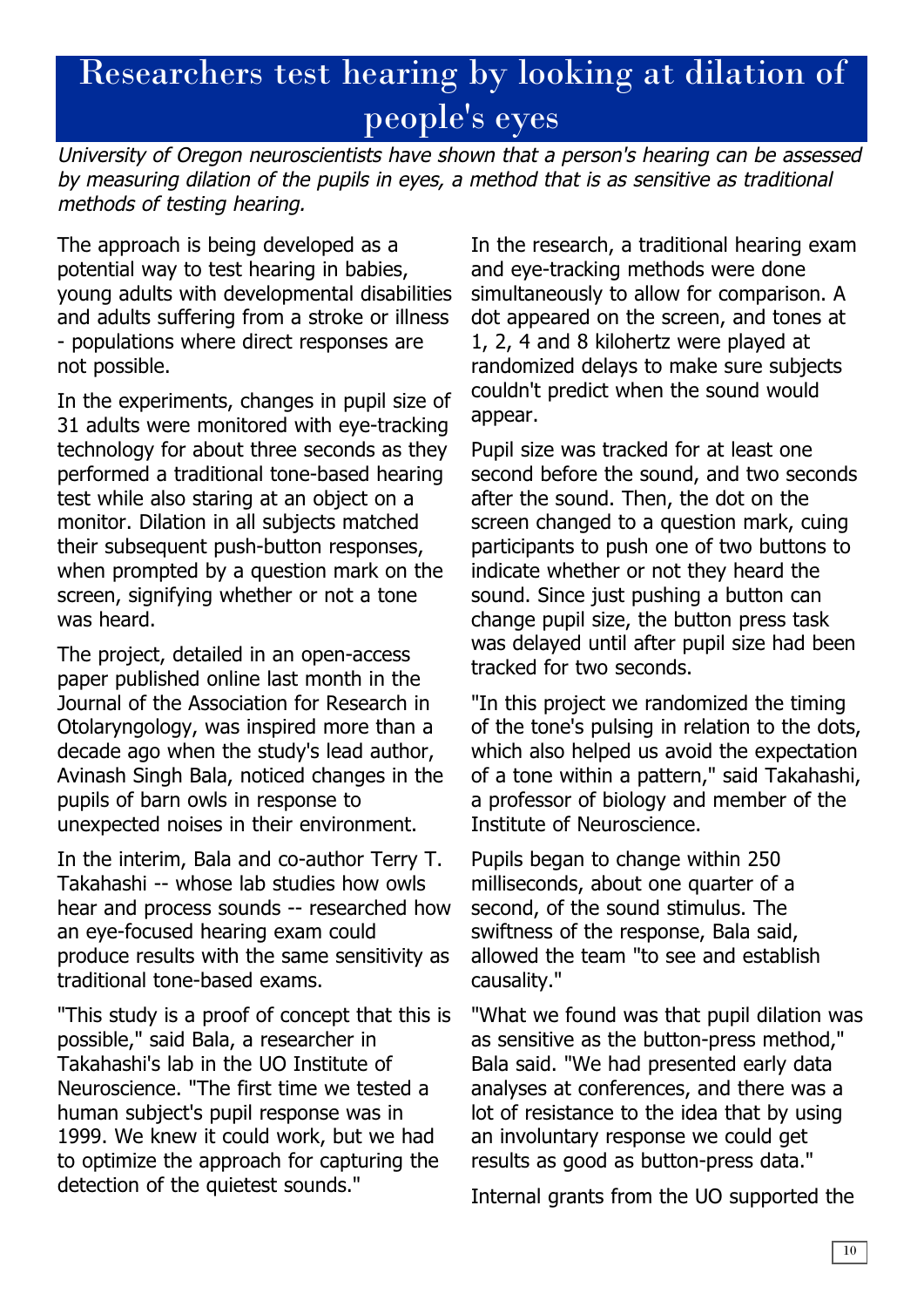# Researchers test hearing by looking at dilation of people's eyes

University of Oregon neuroscientists have shown that <sup>a</sup> person's hearing can be assessed by measuring dilation of the pupils in eyes, <sup>a</sup> method that is as sensitive as traditional methods of testing hearing.

The approach is being developed as a potential way to test hearing in babies, young adults with developmental disabilities and adults suffering from a stroke or illness - populations where direct responses are not possible.

In the experiments, changes in pupil size of 31 adults were monitored with eye-tracking technology for about three seconds as they performed a traditional tone-based hearing test while also staring at an object on a monitor. Dilation in all subjects matched their subsequent push-button responses, when prompted by a question mark on the screen, signifying whether or not a tone was heard.

The project, detailed in an open-access paper published online last month in the Journal of the Association for Research in Otolaryngology, was inspired more than a decade ago when the study's lead author, Avinash Singh Bala, noticed changes in the pupils of barn owls in response to unexpected noises in their environment.

In the interim, Bala and co-author Terry T. Takahashi -- whose lab studies how owls hear and process sounds -- researched how an eye-focused hearing exam could produce results with the same sensitivity as traditional tone-based exams.

"This study is a proof of concept that this is possible," said Bala, a researcher in Takahashi's lab in the UO Institute of Neuroscience. "The first time we tested a human subject's pupil response was in 1999. We knew it could work, but we had to optimize the approach for capturing the detection of the quietest sounds."

In the research, a traditional hearing exam and eye-tracking methods were done simultaneously to allow for comparison. A dot appeared on the screen, and tones at 1, 2, 4 and 8 kilohertz were played at randomized delays to make sure subjects couldn't predict when the sound would appear.

Pupil size was tracked for at least one second before the sound, and two seconds after the sound. Then, the dot on the screen changed to a question mark, cuing participants to push one of two buttons to indicate whether or not they heard the sound. Since just pushing a button can change pupil size, the button press task was delayed until after pupil size had been tracked for two seconds.

"In this project we randomized the timing of the tone's pulsing in relation to the dots, which also helped us avoid the expectation of a tone within a pattern," said Takahashi, a professor of biology and member of the Institute of Neuroscience.

Pupils began to change within 250 milliseconds, about one quarter of a second, of the sound stimulus. The swiftness of the response, Bala said, allowed the team "to see and establish causality."

"What we found was that pupil dilation was as sensitive as the button-press method," Bala said. "We had presented early data analyses at conferences, and there was a lot of resistance to the idea that by using an involuntary response we could get results as good as button-press data."

Internal grants from the UO supported the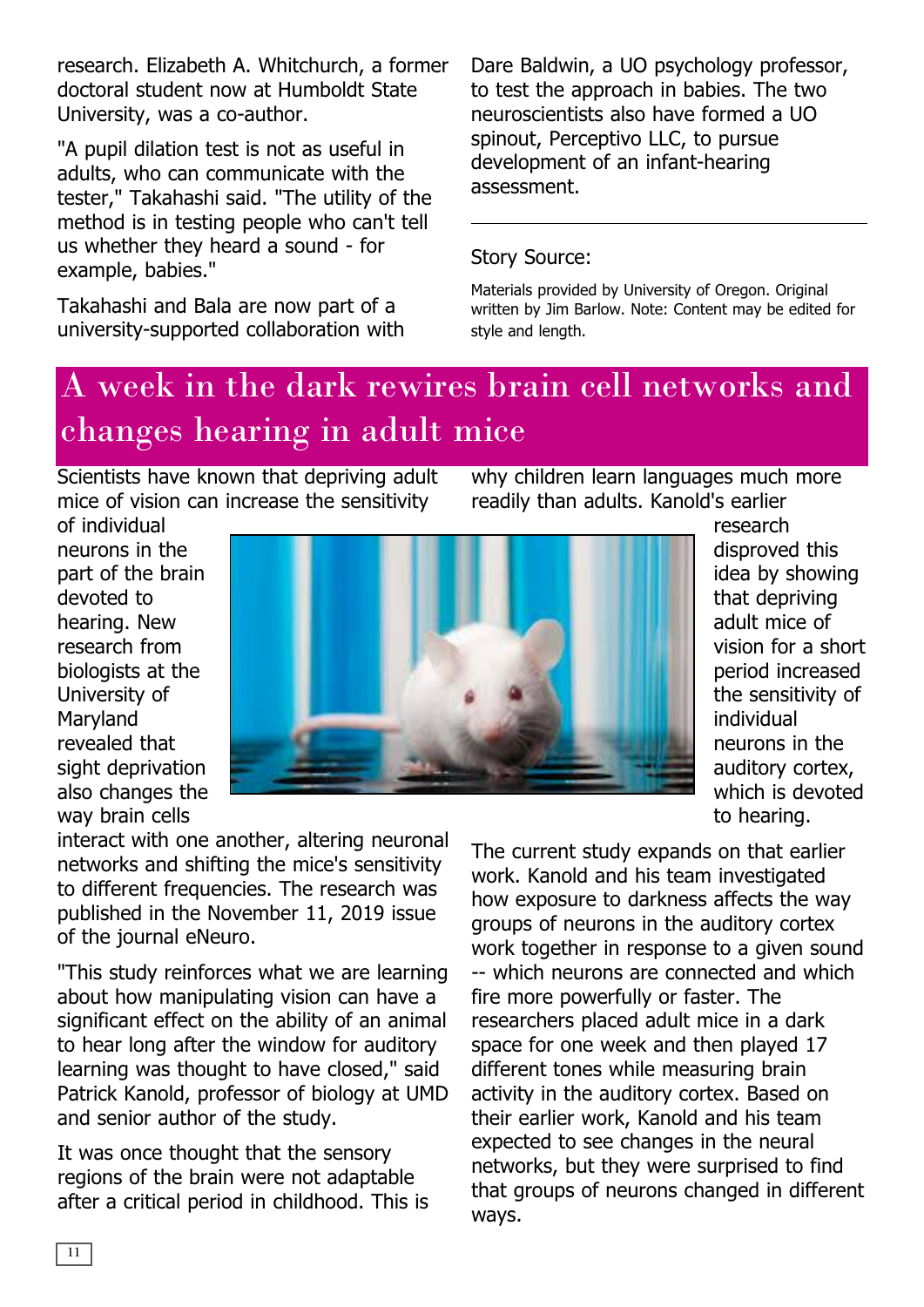research. Elizabeth A. Whitchurch, a former doctoral student now at Humboldt State University, was a co-author.

"A pupil dilation test is not as useful in adults, who can communicate with the tester," Takahashi said. "The utility of the method is in testing people who can't tell us whether they heard a sound - for example, babies."

Takahashi and Bala are now part of a university-supported collaboration with Dare Baldwin, a UO psychology professor, to test the approach in babies. The two neuroscientists also have formed a UO spinout, Perceptivo LLC, to pursue development of an infant-hearing assessment.

#### Story Source:

Materials provided by University of Oregon. Original written by Jim Barlow. Note: Content may be edited for style and length.

# A week in the dark rewires brain cell networks and changes hearing in adult mice

Scientists have known that depriving adult mice of vision can increase the sensitivity

why children learn languages much more readily than adults. Kanold's earlier

of individual neurons in the part of the brain devoted to hearing. New research from biologists at the University of Maryland revealed that sight deprivation also changes the way brain cells



research disproved this idea by showing that depriving adult mice of vision for a short period increased the sensitivity of individual neurons in the auditory cortex, which is devoted to hearing.

interact with one another, altering neuronal networks and shifting the mice's sensitivity to different frequencies. The research was published in the November 11, 2019 issue of the journal eNeuro.

"This study reinforces what we are learning about how manipulating vision can have a significant effect on the ability of an animal to hear long after the window for auditory learning was thought to have closed," said Patrick Kanold, professor of biology at UMD and senior author of the study.

It was once thought that the sensory regions of the brain were not adaptable after a critical period in childhood. This is The current study expands on that earlier work. Kanold and his team investigated how exposure to darkness affects the way groups of neurons in the auditory cortex work together in response to a given sound -- which neurons are connected and which fire more powerfully or faster. The researchers placed adult mice in a dark space for one week and then played 17 different tones while measuring brain activity in the auditory cortex. Based on their earlier work, Kanold and his team expected to see changes in the neural networks, but they were surprised to find that groups of neurons changed in different ways.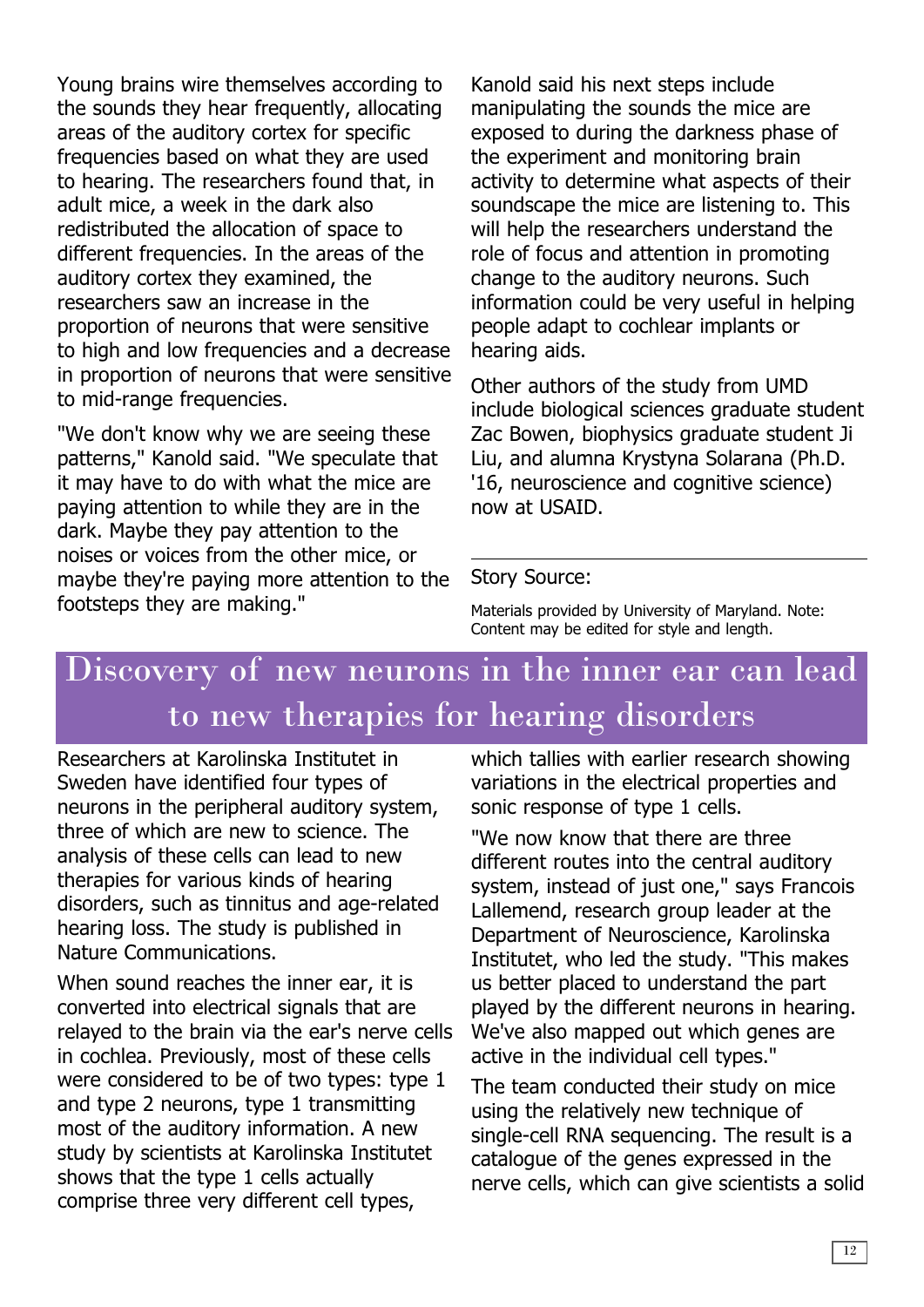Young brains wire themselves according to the sounds they hear frequently, allocating areas of the auditory cortex for specific frequencies based on what they are used to hearing. The researchers found that, in adult mice, a week in the dark also redistributed the allocation of space to different frequencies. In the areas of the auditory cortex they examined, the researchers saw an increase in the proportion of neurons that were sensitive to high and low frequencies and a decrease in proportion of neurons that were sensitive to mid-range frequencies.

"We don't know why we are seeing these patterns," Kanold said. "We speculate that it may have to do with what the mice are paying attention to while they are in the dark. Maybe they pay attention to the noises or voices from the other mice, or maybe they're paying more attention to the footsteps they are making."

Kanold said his next steps include manipulating the sounds the mice are exposed to during the darkness phase of the experiment and monitoring brain activity to determine what aspects of their soundscape the mice are listening to. This will help the researchers understand the role of focus and attention in promoting change to the auditory neurons. Such information could be very useful in helping people adapt to cochlear implants or hearing aids.

Other authors of the study from UMD include biological sciences graduate student Zac Bowen, biophysics graduate student Ji Liu, and alumna Krystyna Solarana (Ph.D. '16, neuroscience and cognitive science) now at USAID.

#### Story Source:

Materials provided by University of Maryland. Note: Content may be edited for style and length.

# Discovery of new neurons in the inner ear can lead to new therapies for hearing disorders

Researchers at Karolinska Institutet in Sweden have identified four types of neurons in the peripheral auditory system, three of which are new to science. The analysis of these cells can lead to new therapies for various kinds of hearing disorders, such as tinnitus and age-related hearing loss. The study is published in Nature Communications.

When sound reaches the inner ear, it is converted into electrical signals that are relayed to the brain via the ear's nerve cells in cochlea. Previously, most of these cells were considered to be of two types: type 1 and type 2 neurons, type 1 transmitting most of the auditory information. A new study by scientists at Karolinska Institutet shows that the type 1 cells actually comprise three very different cell types,

which tallies with earlier research showing variations in the electrical properties and sonic response of type 1 cells.

"We now know that there are three different routes into the central auditory system, instead of just one," says Francois Lallemend, research group leader at the Department of Neuroscience, Karolinska Institutet, who led the study. "This makes us better placed to understand the part played by the different neurons in hearing. We've also mapped out which genes are active in the individual cell types."

The team conducted their study on mice using the relatively new technique of single-cell RNA sequencing. The result is a catalogue of the genes expressed in the nerve cells, which can give scientists a solid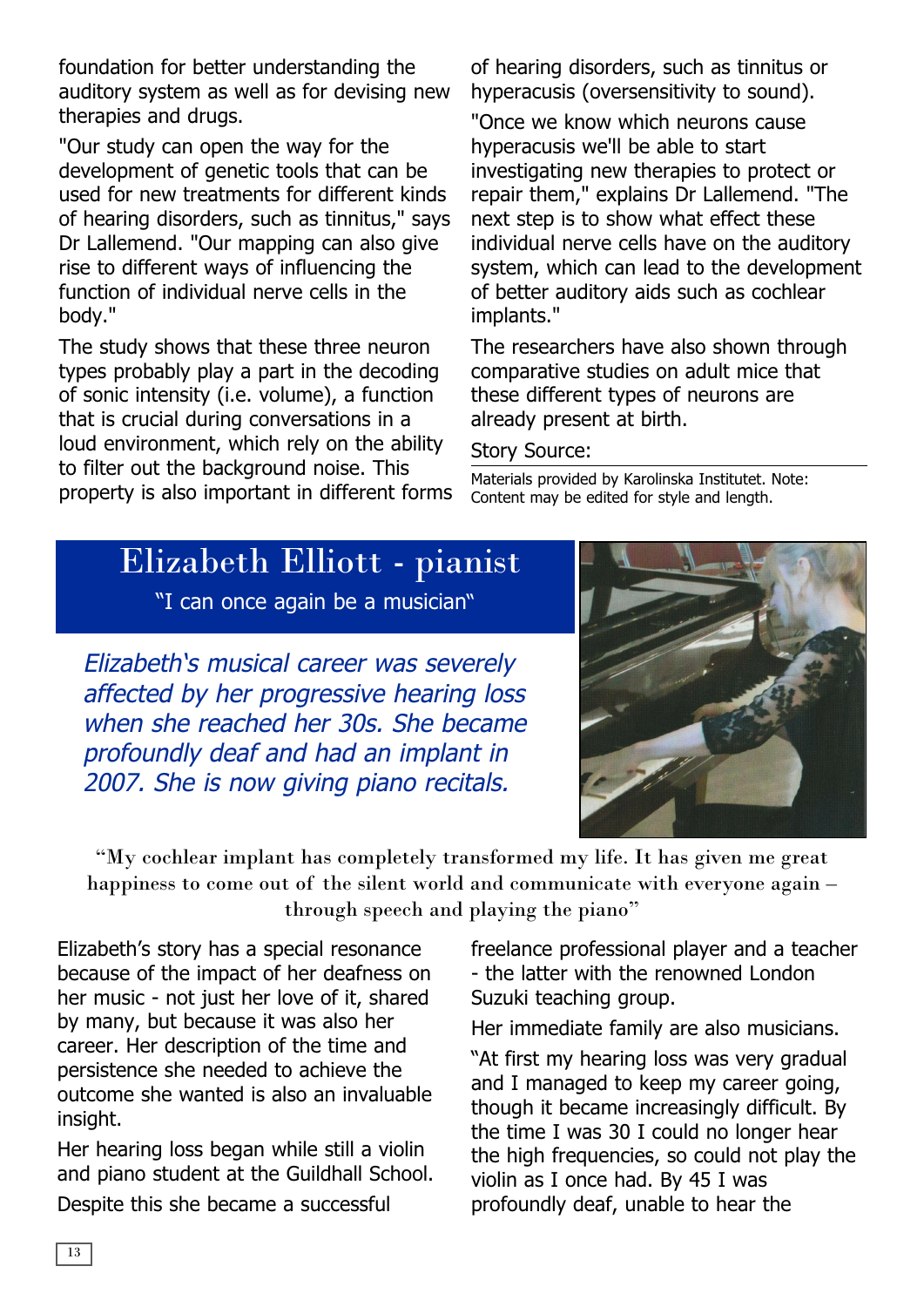foundation for better understanding the auditory system as well as for devising new therapies and drugs.

"Our study can open the way for the development of genetic tools that can be used for new treatments for different kinds of hearing disorders, such as tinnitus," says Dr Lallemend. "Our mapping can also give rise to different ways of influencing the function of individual nerve cells in the body."

The study shows that these three neuron types probably play a part in the decoding of sonic intensity (i.e. volume), a function that is crucial during conversations in a loud environment, which rely on the ability to filter out the background noise. This property is also important in different forms of hearing disorders, such as tinnitus or hyperacusis (oversensitivity to sound).

"Once we know which neurons cause hyperacusis we'll be able to start investigating new therapies to protect or repair them," explains Dr Lallemend. "The next step is to show what effect these individual nerve cells have on the auditory system, which can lead to the development of better auditory aids such as cochlear implants."

The researchers have also shown through comparative studies on adult mice that these different types of neurons are already present at birth.

#### Story Source:

Materials provided by Karolinska Institutet. Note: Content may be edited for style and length.

### Elizabeth Elliott - pianist

"I can once again be a musician"

Elizabeth's musical career was severely affected by her progressive hearing loss when she reached her 30s. She became profoundly deaf and had an implant in 2007. She is now giving piano recitals.



"My cochlear implant has completely transformed my life. It has given me great happiness to come out of the silent world and communicate with everyone again – through speech and playing the piano"

Elizabeth's story has a special resonance because of the impact of her deafness on her music - not just her love of it, shared by many, but because it was also her career. Her description of the time and persistence she needed to achieve the outcome she wanted is also an invaluable insight.

Her hearing loss began while still a violin and piano student at the Guildhall School.

Despite this she became a successful

freelance professional player and a teacher - the latter with the renowned London Suzuki teaching group.

Her immediate family are also musicians.

"At first my hearing loss was very gradual and I managed to keep my career going, though it became increasingly difficult. By the time I was 30 I could no longer hear the high frequencies, so could not play the violin as I once had. By 45 I was profoundly deaf, unable to hear the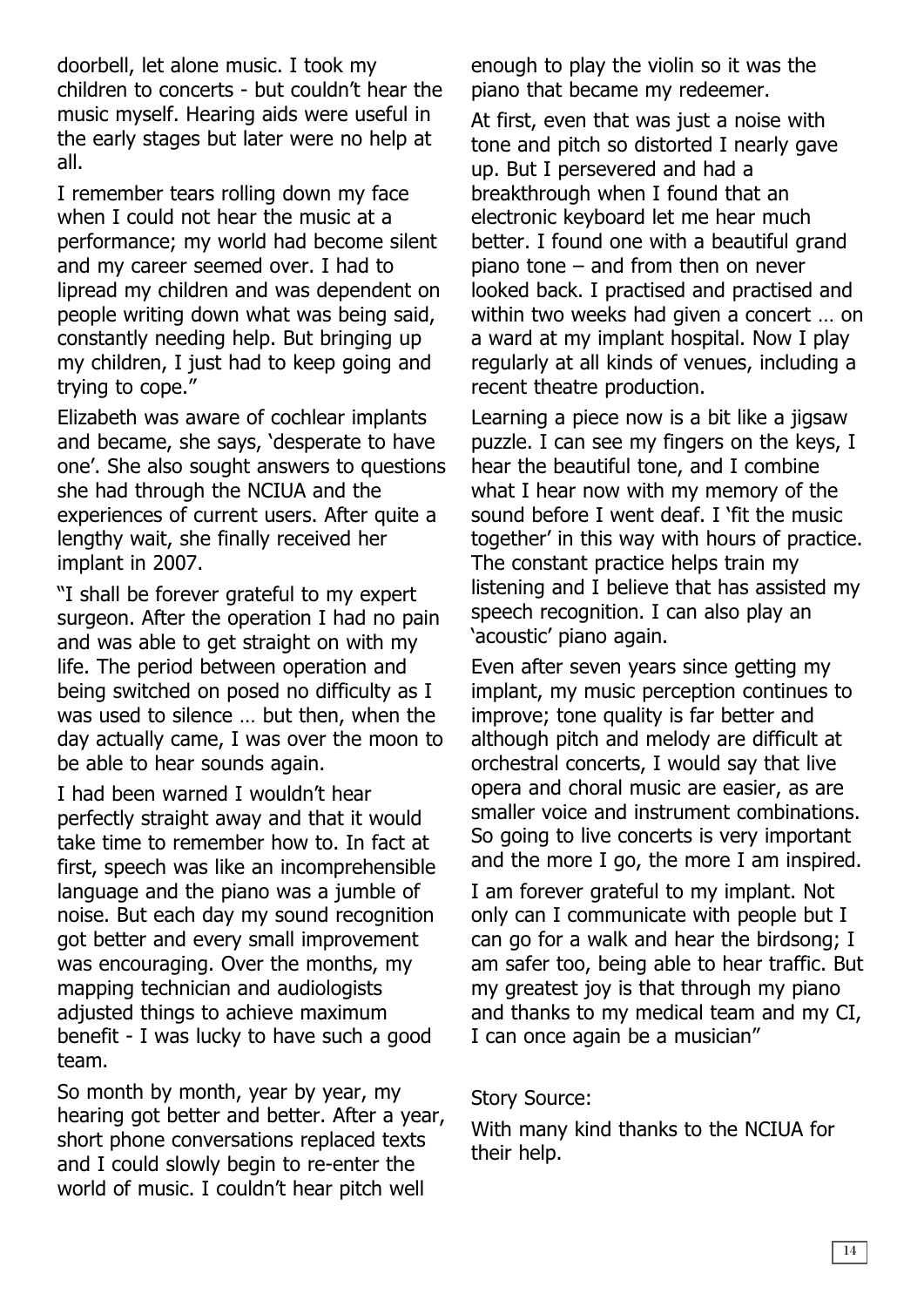doorbell, let alone music. I took my children to concerts - but couldn't hear the music myself. Hearing aids were useful in the early stages but later were no help at all.

I remember tears rolling down my face when I could not hear the music at a performance; my world had become silent and my career seemed over. I had to lipread my children and was dependent on people writing down what was being said, constantly needing help. But bringing up my children, I just had to keep going and trying to cope."

Elizabeth was aware of cochlear implants and became, she says, 'desperate to have one'. She also sought answers to questions she had through the NCIUA and the experiences of current users. After quite a lengthy wait, she finally received her implant in 2007.

"I shall be forever grateful to my expert surgeon. After the operation I had no pain and was able to get straight on with my life. The period between operation and being switched on posed no difficulty as I was used to silence … but then, when the day actually came, I was over the moon to be able to hear sounds again.

I had been warned I wouldn't hear perfectly straight away and that it would take time to remember how to. In fact at first, speech was like an incomprehensible language and the piano was a jumble of noise. But each day my sound recognition got better and every small improvement was encouraging. Over the months, my mapping technician and audiologists adjusted things to achieve maximum benefit - I was lucky to have such a good team.

So month by month, year by year, my hearing got better and better. After a year, short phone conversations replaced texts and I could slowly begin to re-enter the world of music. I couldn't hear pitch well

enough to play the violin so it was the piano that became my redeemer.

At first, even that was just a noise with tone and pitch so distorted I nearly gave up. But I persevered and had a breakthrough when I found that an electronic keyboard let me hear much better. I found one with a beautiful grand piano tone – and from then on never looked back. I practised and practised and within two weeks had given a concert … on a ward at my implant hospital. Now I play regularly at all kinds of venues, including a recent theatre production.

Learning a piece now is a bit like a jigsaw puzzle. I can see my fingers on the keys, I hear the beautiful tone, and I combine what I hear now with my memory of the sound before I went deaf. I 'fit the music together' in this way with hours of practice. The constant practice helps train my listening and I believe that has assisted my speech recognition. I can also play an 'acoustic' piano again.

Even after seven years since getting my implant, my music perception continues to improve; tone quality is far better and although pitch and melody are difficult at orchestral concerts, I would say that live opera and choral music are easier, as are smaller voice and instrument combinations. So going to live concerts is very important and the more I go, the more I am inspired.

I am forever grateful to my implant. Not only can I communicate with people but I can go for a walk and hear the birdsong; I am safer too, being able to hear traffic. But my greatest joy is that through my piano and thanks to my medical team and my CI, I can once again be a musician"

#### Story Source:

With many kind thanks to the NCIUA for their help.